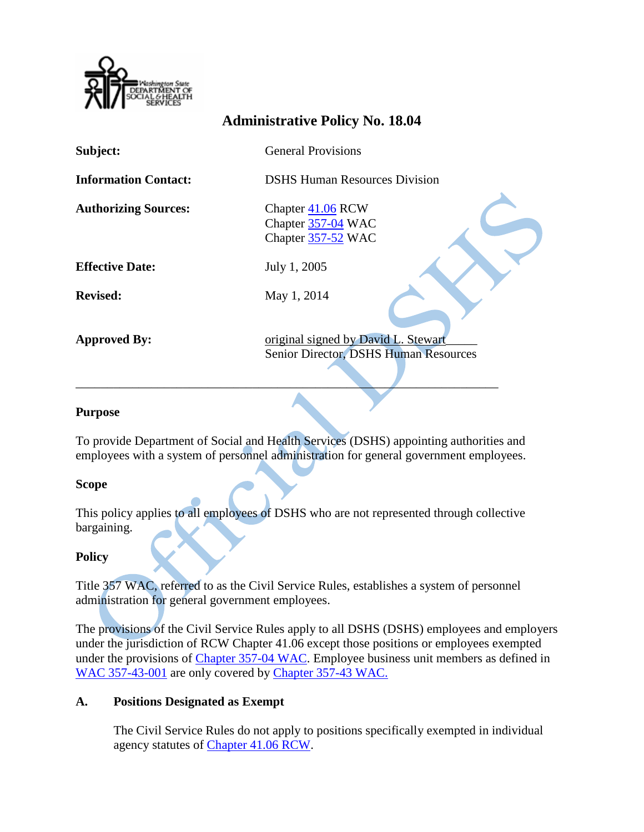

# **Administrative Policy No. 18.04**

| Subject:                    | <b>General Provisions</b>                                                    |
|-----------------------------|------------------------------------------------------------------------------|
| <b>Information Contact:</b> | <b>DSHS Human Resources Division</b>                                         |
| <b>Authorizing Sources:</b> | Chapter 41.06 RCW<br>Chapter 357-04 WAC<br>Chapter 357-52 WAC                |
| <b>Effective Date:</b>      | July 1, 2005                                                                 |
| <b>Revised:</b>             | May 1, 2014                                                                  |
| <b>Approved By:</b>         | original signed by David L. Stewart<br>Senior Director, DSHS Human Resources |

#### **Purpose**

To provide Department of Social and Health Services (DSHS) appointing authorities and employees with a system of personnel administration for general government employees.

\_\_\_\_\_\_\_\_\_\_\_\_\_\_\_\_\_\_\_\_\_\_\_\_\_\_\_\_\_\_\_\_\_\_\_\_\_\_\_\_\_\_\_\_\_\_\_\_\_\_\_\_\_\_\_\_\_\_\_\_\_\_\_\_\_\_\_

### **Scope**

This policy applies to all employees of DSHS who are not represented through collective bargaining.

### **Policy**

Title 357 WAC, referred to as the Civil Service Rules, establishes a system of personnel administration for general government employees.

The provisions of the Civil Service Rules apply to all DSHS (DSHS) employees and employers under the jurisdiction of RCW Chapter 41.06 except those positions or employees exempted under the provisions of Chapter [357-04 WAC.](http://apps.leg.wa.gov/rcw/default.aspx?cite=41.06.152) Employee business unit members as defined in [WAC 357-43-001](http://apps.leg.wa.gov/WAC/default.aspx?cite=357-43-001) are only covered by [Chapter](http://hrd.dshs.wa.gov/) 357-43 WAC.

### **A. Positions Designated as Exempt**

The Civil Service Rules do not apply to positions specifically exempted in individual agency statutes of Chapter [41.06 RCW.](http://apps.leg.wa.gov/rcw/default.aspx?cite=41.06)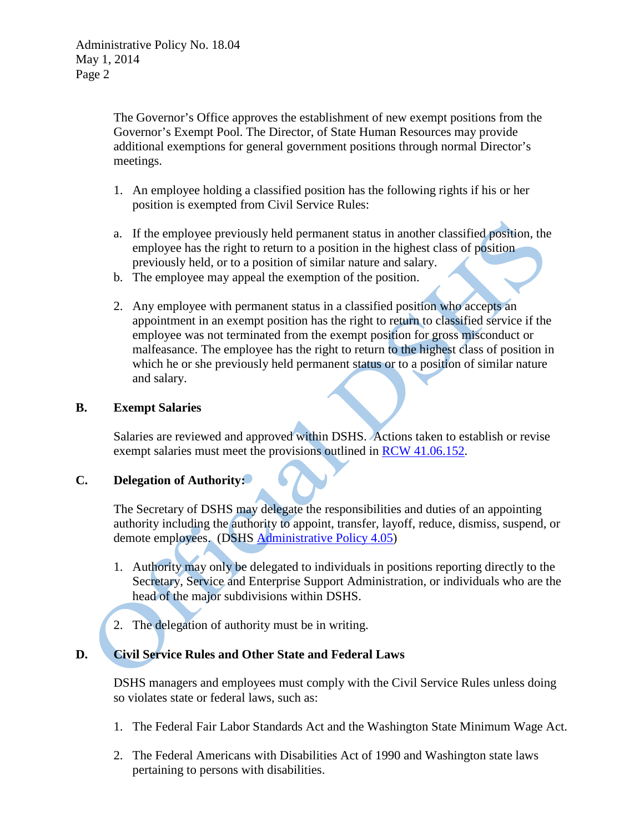The Governor's Office approves the establishment of new exempt positions from the Governor's Exempt Pool. The Director, of State Human Resources may provide additional exemptions for general government positions through normal Director's meetings.

- 1. An employee holding a classified position has the following rights if his or her position is exempted from Civil Service Rules:
- a. If the employee previously held permanent status in another classified position, the employee has the right to return to a position in the highest class of position previously held, or to a position of similar nature and salary.
- b. The employee may appeal the exemption of the position.
- 2. Any employee with permanent status in a classified position who accepts an appointment in an exempt position has the right to return to classified service if the employee was not terminated from the exempt position for gross misconduct or malfeasance. The employee has the right to return to the highest class of position in which he or she previously held permanent status or to a position of similar nature and salary.

### **B. Exempt Salaries**

Salaries are reviewed and approved within DSHS. Actions taken to establish or revise exempt salaries must meet the provisions outlined in [RCW 41.06.152.](http://apps.leg.wa.gov/rcw/default.aspx?cite=41.06.152)

### **C. Delegation of Authority:**

The Secretary of DSHS may delegate the responsibilities and duties of an appointing authority including the authority to appoint, transfer, layoff, reduce, dismiss, suspend, or demote employees. (DSHS [Administrative Policy 4.05\)](http://asd.dshs.wa.gov/RPAU/documents/Admin-Policy/04-05.htm)

- 1. Authority may only be delegated to individuals in positions reporting directly to the Secretary, Service and Enterprise Support Administration, or individuals who are the head of the major subdivisions within DSHS.
- 2. The delegation of authority must be in writing.

## **D. Civil Service Rules and Other State and Federal Laws**

DSHS managers and employees must comply with the Civil Service Rules unless doing so violates state or federal laws, such as:

- 1. The Federal Fair Labor Standards Act and the Washington State Minimum Wage Act.
- 2. The Federal Americans with Disabilities Act of 1990 and Washington state laws pertaining to persons with disabilities.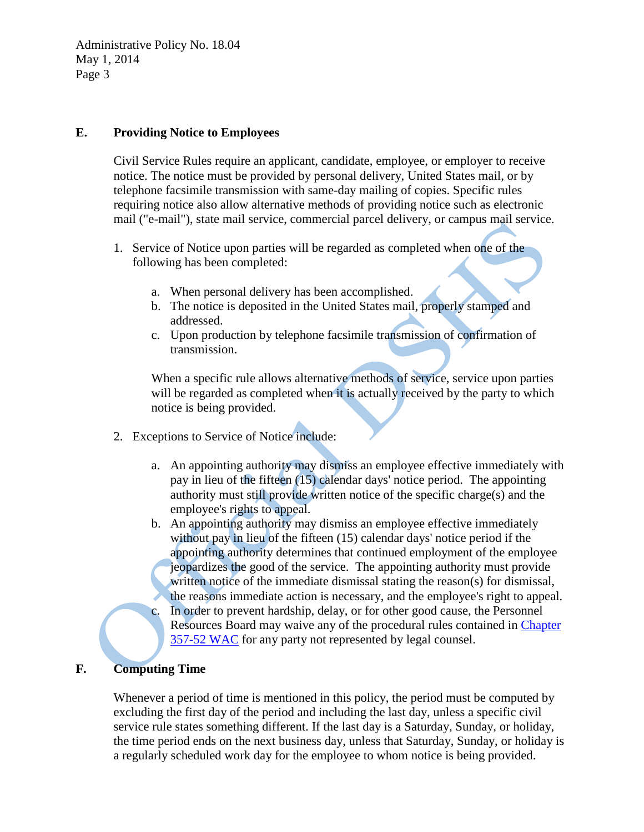Administrative Policy No. 18.04 May 1, 2014 Page 3

### **E. Providing Notice to Employees**

Civil Service Rules require an applicant, candidate, employee, or employer to receive notice. The notice must be provided by personal delivery, United States mail, or by telephone facsimile transmission with same-day mailing of copies. Specific rules requiring notice also allow alternative methods of providing notice such as electronic mail ("e-mail"), state mail service, commercial parcel delivery, or campus mail service.

- 1. Service of Notice upon parties will be regarded as completed when one of the following has been completed:
	- a. When personal delivery has been accomplished.
	- b. The notice is deposited in the United States mail, properly stamped and addressed.
	- c. Upon production by telephone facsimile transmission of confirmation of transmission.

When a specific rule allows alternative methods of service, service upon parties will be regarded as completed when it is actually received by the party to which notice is being provided.

- 2. Exceptions to Service of Notice include:
	- a. An appointing authority may dismiss an employee effective immediately with pay in lieu of the fifteen (15) calendar days' notice period. The appointing authority must still provide written notice of the specific charge(s) and the employee's rights to appeal.
	- b. An appointing authority may dismiss an employee effective immediately without pay in lieu of the fifteen (15) calendar days' notice period if the appointing authority determines that continued employment of the employee jeopardizes the good of the service. The appointing authority must provide written notice of the immediate dismissal stating the reason(s) for dismissal, the reasons immediate action is necessary, and the employee's right to appeal.
	- c. In order to prevent hardship, delay, or for other good cause, the Personnel Resources Board may waive any of the procedural rules contained in [Chapter](http://apps.leg.wa.gov/WAC/default.aspx?cite=357-52) [357-52 WAC](http://apps.leg.wa.gov/WAC/default.aspx?cite=357-52) for any party not represented by legal counsel.

### **F. Computing Time**

Whenever a period of time is mentioned in this policy, the period must be computed by excluding the first day of the period and including the last day, unless a specific civil service rule states something different. If the last day is a Saturday, Sunday, or holiday, the time period ends on the next business day, unless that Saturday, Sunday, or holiday is a regularly scheduled work day for the employee to whom notice is being provided.